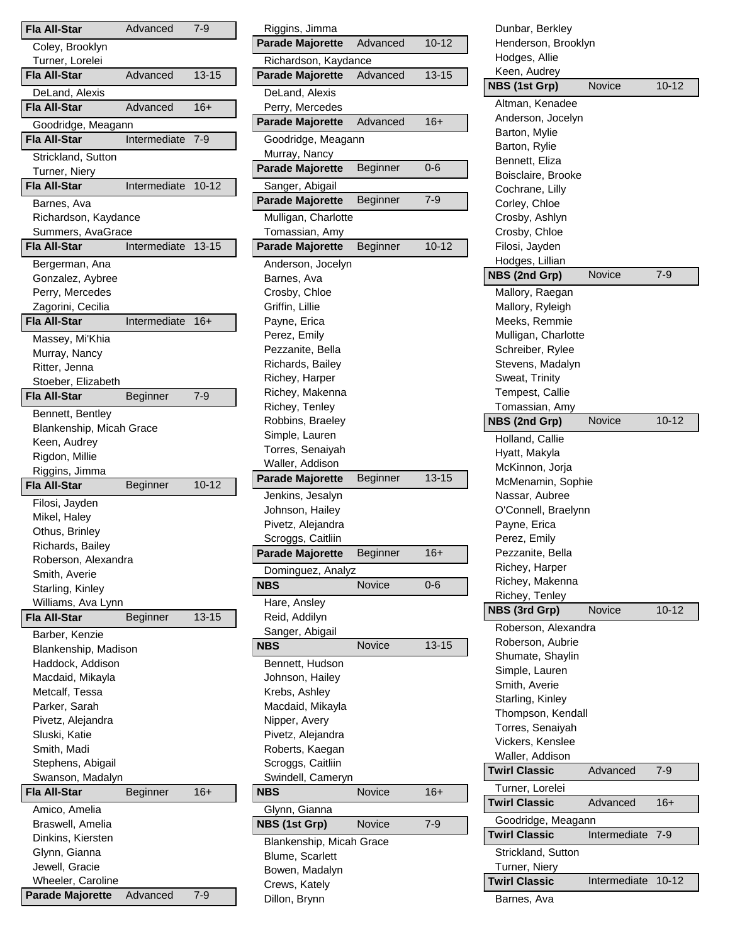| <b>Fla All-Star</b>                          | Advanced     | 7-9       |
|----------------------------------------------|--------------|-----------|
| Coley, Brooklyn                              |              |           |
| Turner, Lorelei                              |              |           |
| <b>Fla All-Star</b>                          | Advanced     | 13-15     |
| DeLand, Alexis                               |              |           |
| <b>Fla All-Star</b>                          | Advanced     | 16+       |
| Goodridge, Meagann                           |              |           |
| <b>Fla All-Star</b>                          | Intermediate | 7-9       |
| Strickland, Sutton                           |              |           |
| Turner, Niery<br><b>Fla All-Star</b>         | Intermediate | $10 - 12$ |
| Barnes, Ava                                  |              |           |
| Richardson, Kaydance                         |              |           |
| Summers, AvaGrace                            |              |           |
| Fla All-Star                                 | Intermediate | $13 - 15$ |
| Bergerman, Ana                               |              |           |
| Gonzalez, Aybree                             |              |           |
| Perry, Mercedes                              |              |           |
| Zagorini, Cecilia                            |              |           |
| <b>Fla All-Star</b>                          | Intermediate | $16+$     |
| Massey, Mi'Khia                              |              |           |
| Murray, Nancy<br>Ritter, Jenna               |              |           |
| Stoeber, Elizabeth                           |              |           |
| <b>Fla All-Star</b>                          | Beginner     | 7-9       |
| Bennett, Bentley                             |              |           |
| Blankenship, Micah Grace                     |              |           |
| Keen, Audrey                                 |              |           |
| Rigdon, Millie                               |              |           |
|                                              |              |           |
| Riggins, Jimma                               |              |           |
| <b>Fla All-Star</b>                          | Beginner     | $10 - 12$ |
| Filosi, Jayden                               |              |           |
| Mikel, Haley                                 |              |           |
| Othus, Brinley                               |              |           |
| Richards, Bailey<br>Roberson, Alexandra      |              |           |
| Smith, Averie                                |              |           |
| Starling, Kinley                             |              |           |
| Williams, Ava Lynn                           |              |           |
| Fla All-Star                                 | Beginner     | $13 - 15$ |
| Barber, Kenzie                               |              |           |
| Blankenship, Madison                         |              |           |
| Haddock, Addison                             |              |           |
| Macdaid, Mikayla                             |              |           |
| Metcalf, Tessa                               |              |           |
| Parker, Sarah                                |              |           |
| Pivetz, Alejandra                            |              |           |
| Sluski, Katie                                |              |           |
| Smith, Madi                                  |              |           |
| Stephens, Abigail                            |              |           |
| Swanson, Madalyn<br><b>Fla All-Star</b>      | Beginner     | 16+       |
| Amico, Amelia                                |              |           |
| Braswell, Amelia                             |              |           |
| Dinkins, Kiersten                            |              |           |
| Glynn, Gianna                                |              |           |
| Jewell, Gracie                               |              |           |
| Wheeler, Caroline<br><b>Parade Majorette</b> | Advanced     | 7-9       |

| Riggins, Jimma                            |                 |           |
|-------------------------------------------|-----------------|-----------|
| <b>Parade Majorette</b>                   | Advanced        | $10 - 12$ |
| Richardson, Kaydance                      |                 |           |
| <b>Parade Majorette</b>                   | Advanced        | $13 - 15$ |
| DeLand, Alexis                            |                 |           |
| Perry, Mercedes                           |                 |           |
| <b>Parade Majorette</b>                   | Advanced        | $16+$     |
| Goodridge, Meagann                        |                 |           |
| Murray, Nancy                             |                 |           |
| <b>Parade Majorette</b>                   | <b>Beginner</b> | 0-6       |
| Sanger, Abigail                           |                 |           |
| <b>Parade Majorette</b>                   | Beginner        | 7-9       |
|                                           |                 |           |
| Mulligan, Charlotte                       |                 |           |
| Tomassian, Amy<br><b>Parade Majorette</b> | Beginner        | 10-12     |
|                                           |                 |           |
| Anderson, Jocelyn                         |                 |           |
| Barnes, Ava                               |                 |           |
| Crosby, Chloe                             |                 |           |
| Griffin, Lillie                           |                 |           |
| Payne, Erica                              |                 |           |
| Perez, Emily                              |                 |           |
| Pezzanite, Bella                          |                 |           |
| Richards, Bailey                          |                 |           |
| Richey, Harper                            |                 |           |
| Richey, Makenna                           |                 |           |
| Richey, Tenley                            |                 |           |
| Robbins, Braeley                          |                 |           |
| Simple, Lauren                            |                 |           |
| Torres, Senaiyah                          |                 |           |
|                                           |                 |           |
| Waller, Addison                           |                 |           |
| <b>Parade Majorette</b>                   | Beginner        | $13 - 15$ |
| Jenkins, Jesalyn                          |                 |           |
| Johnson, Hailey                           |                 |           |
| Pivetz, Alejandra                         |                 |           |
| Scroggs, Caitliin                         |                 |           |
| <b>Parade Majorette</b>                   | Beginner        | $16+$     |
| Dominguez, Analyz                         |                 |           |
| <b>NBS</b>                                | Novice          | $0 - 6$   |
| Hare, Ansley                              |                 |           |
| Reid, Addilyn                             |                 |           |
| Sanger, Abigail                           |                 |           |
| NBS                                       | Novice          | $13 - 15$ |
| Bennett, Hudson                           |                 |           |
| Johnson, Hailey                           |                 |           |
| Krebs, Ashley                             |                 |           |
| Macdaid, Mikayla                          |                 |           |
| Nipper, Avery                             |                 |           |
| Pivetz, Alejandra                         |                 |           |
| Roberts, Kaegan                           |                 |           |
| Scroggs, Caitliin                         |                 |           |
| Swindell, Cameryn                         |                 |           |
| NBS                                       | <b>Novice</b>   | $16+$     |
| Glynn, Gianna                             |                 |           |
| NBS (1st Grp)                             | <b>Novice</b>   | $7-9$     |
| Blankenship, Micah Grace                  |                 |           |
| <b>Blume, Scarlett</b>                    |                 |           |
| Bowen, Madalyn                            |                 |           |
| Crews, Kately                             |                 |           |

| Dunbar, Berkley                         |              |           |
|-----------------------------------------|--------------|-----------|
| Henderson, Brooklyn                     |              |           |
| Hodges, Allie                           |              |           |
| Keen, Audrey                            |              |           |
| NBS (1st Grp)                           | Novice       | $10 - 12$ |
| Altman, Kenadee                         |              |           |
| Anderson, Jocelyn                       |              |           |
| Barton, Mylie                           |              |           |
| Barton, Rylie                           |              |           |
| Bennett, Eliza                          |              |           |
| Boisclaire, Brooke                      |              |           |
| Cochrane, Lilly                         |              |           |
| Corley, Chloe                           |              |           |
| Crosby, Ashlyn                          |              |           |
| Crosby, Chloe                           |              |           |
| Filosi, Jayden                          |              |           |
| Hodges, Lillian                         |              |           |
| NBS (2nd Grp)                           | Novice       | $7-9$     |
| Mallory, Raegan                         |              |           |
| Mallory, Ryleigh                        |              |           |
| Meeks, Remmie                           |              |           |
| Mulligan, Charlotte                     |              |           |
| Schreiber, Rylee                        |              |           |
| Stevens, Madalyn                        |              |           |
| Sweat, Trinity                          |              |           |
| Tempest, Callie                         |              |           |
| Tomassian, Amy                          |              |           |
| NBS (2nd Grp)                           | Novice       | 10-12     |
| Holland, Callie                         |              |           |
| Hyatt, Makyla                           |              |           |
| McKinnon, Jorja                         |              |           |
| McMenamin, Sophie                       |              |           |
| Nassar, Aubree                          |              |           |
| O'Connell, Braelynn                     |              |           |
| Payne, Erica<br>Perez, Emily            |              |           |
| Pezzanite, Bella                        |              |           |
| Richey, Harper                          |              |           |
| Richey, Makenna                         |              |           |
| Richey, Tenley                          |              |           |
| NBS (3rd Grp)                           | Novice       | $10 - 12$ |
|                                         |              |           |
| Roberson, Alexandra<br>Roberson, Aubrie |              |           |
| Shumate, Shaylin                        |              |           |
| Simple, Lauren                          |              |           |
| Smith, Averie                           |              |           |
| Starling, Kinley                        |              |           |
| Thompson, Kendall                       |              |           |
| Torres, Senaiyah                        |              |           |
| Vickers, Kenslee                        |              |           |
| Waller, Addison                         |              |           |
| <b>Twirl Classic</b>                    | Advanced     | 7-9       |
| Turner, Lorelei                         |              |           |
| <b>Twirl Classic</b>                    | Advanced     | 16+       |
| Goodridge, Meagann                      |              |           |
| <b>Twirl Classic</b>                    | Intermediate | $7-9$     |
|                                         |              |           |
| Strickland, Sutton                      |              |           |
| Turner, Niery                           | Intermediate | $10 - 12$ |
| <b>Twirl Classic</b>                    |              |           |
| Barnes, Ava                             |              |           |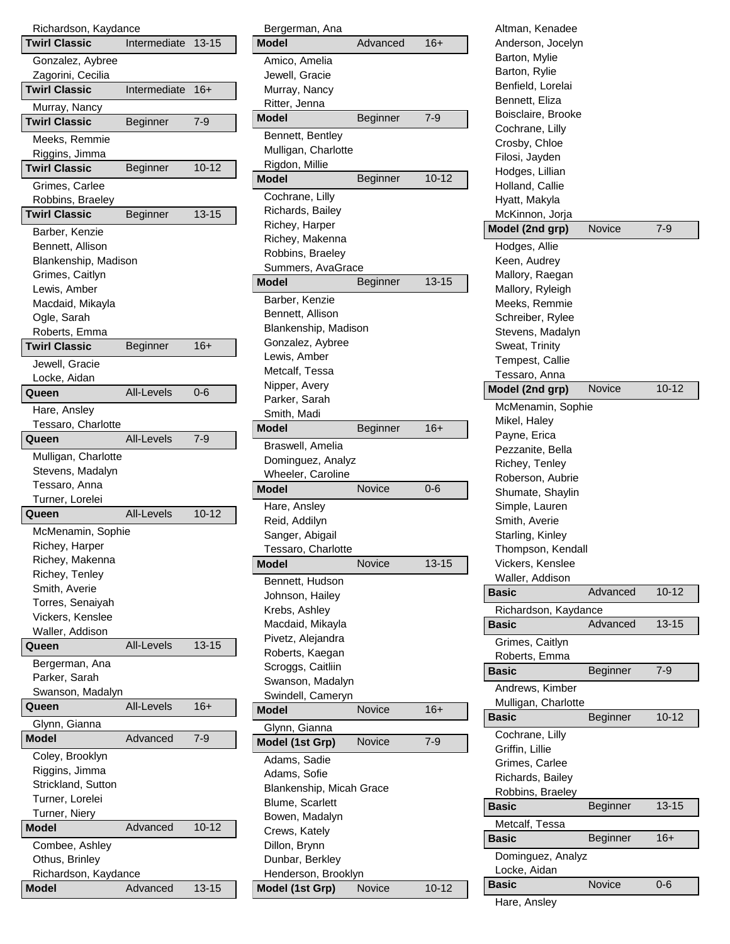| Richardson, Kaydance<br><b>Twirl Classic</b> | Intermediate      | $13 - 15$ |
|----------------------------------------------|-------------------|-----------|
|                                              |                   |           |
| Gonzalez, Aybree<br>Zagorini, Cecilia        |                   |           |
| <b>Twirl Classic</b>                         | Intermediate      | $16+$     |
| Murray, Nancy                                |                   |           |
| <b>Twirl Classic</b>                         | Beginner          | $7-9$     |
| Meeks, Remmie<br>Riggins, Jimma              |                   |           |
| <b>Twirl Classic</b>                         | Beginner          | $10 - 12$ |
| Grimes, Carlee                               |                   |           |
| Robbins, Braeley                             |                   |           |
| <b>Twirl Classic</b>                         | Beginner          | $13 - 15$ |
| Barber, Kenzie                               |                   |           |
| Bennett, Allison                             |                   |           |
| Blankenship, Madison                         |                   |           |
| Grimes, Caitlyn                              |                   |           |
| Lewis, Amber                                 |                   |           |
| Macdaid, Mikayla                             |                   |           |
| Ogle, Sarah                                  |                   |           |
| Roberts, Emma                                |                   |           |
| <b>Twirl Classic</b>                         | Beginner          | $16+$     |
| Jewell, Gracie                               |                   |           |
| Locke, Aidan                                 |                   |           |
| Queen                                        | All-Levels        | 0-6       |
| Hare, Ansley                                 |                   |           |
| Tessaro, Charlotte                           |                   |           |
| Queen                                        | <b>All-Levels</b> | $7 - 9$   |
|                                              |                   |           |
| Mulligan, Charlotte                          |                   |           |
| Stevens, Madalyn<br>Tessaro, Anna            |                   |           |
|                                              |                   |           |
| Turner, Lorelei<br>Queen                     | All-Levels        | $10 - 12$ |
|                                              |                   |           |
| McMenamin, Sophie                            |                   |           |
| Richey, Harper                               |                   |           |
| Richey, Makenna                              |                   |           |
| Richey, Tenley                               |                   |           |
| Smith, Averie                                |                   |           |
| Torres, Senaiyah                             |                   |           |
| Vickers, Kenslee                             |                   |           |
| Waller, Addison<br>Queen                     | <b>All-Levels</b> | $13 - 15$ |
|                                              |                   |           |
| Bergerman, Ana                               |                   |           |
| Parker, Sarah                                |                   |           |
| Swanson, Madalyn                             | All-Levels        | 16+       |
| Queen                                        |                   |           |
| Glynn, Gianna                                |                   |           |
| Model                                        | Advanced          | 7-9       |
| Coley, Brooklyn                              |                   |           |
| Riggins, Jimma                               |                   |           |
| Strickland, Sutton                           |                   |           |
| Turner, Lorelei                              |                   |           |
| Turner, Niery<br><b>Model</b>                | Advanced          | $10 - 12$ |
|                                              |                   |           |
| Combee, Ashley                               |                   |           |
| Othus, Brinley                               |                   |           |
| Richardson, Kaydance                         | Advanced          | $13 - 15$ |
| <b>Model</b>                                 |                   |           |

| Bergerman, Ana                    |          |           |
|-----------------------------------|----------|-----------|
| <b>Model</b>                      | Advanced | $16+$     |
| Amico, Amelia                     |          |           |
| Jewell, Gracie                    |          |           |
| Murray, Nancy                     |          |           |
| Ritter, Jenna                     |          |           |
| <b>Model</b>                      | Beginner | 7-9       |
| Bennett, Bentley                  |          |           |
| Mulligan, Charlotte               |          |           |
| Rigdon, Millie                    |          |           |
| <b>Model</b>                      | Beginner | $10 - 12$ |
| Cochrane, Lilly                   |          |           |
| Richards, Bailey                  |          |           |
| Richey, Harper<br>Richey, Makenna |          |           |
| Robbins, Braeley                  |          |           |
| Summers, AvaGrace                 |          |           |
| <b>Model</b>                      | Beginner | $13 - 15$ |
| Barber, Kenzie                    |          |           |
| Bennett, Allison                  |          |           |
| Blankenship, Madison              |          |           |
| Gonzalez, Aybree                  |          |           |
| Lewis, Amber                      |          |           |
| Metcalf, Tessa                    |          |           |
| Nipper, Avery                     |          |           |
| Parker, Sarah                     |          |           |
| Smith, Madi                       |          |           |
| <b>Model</b>                      | Beginner | $16+$     |
| Braswell, Amelia                  |          |           |
| Dominguez, Analyz                 |          |           |
| Wheeler, Caroline<br><b>Model</b> | Novice   | 0-6       |
|                                   |          |           |
| Hare, Ansley                      |          |           |
| Reid, Addilyn<br>Sanger, Abigail  |          |           |
| Tessaro, Charlotte                |          |           |
| Model                             | Novice   | 13-15     |
| Bennett, Hudson                   |          |           |
| Johnson, Hailey                   |          |           |
| Krebs, Ashley                     |          |           |
| Macdaid, Mikayla                  |          |           |
| Pivetz, Alejandra                 |          |           |
| Roberts, Kaegan                   |          |           |
| Scroggs, Caitliin                 |          |           |
| Swanson, Madalyn                  |          |           |
| Swindell, Cameryn                 |          |           |
| <b>Model</b>                      | Novice   | 16+       |
| Glynn, Gianna                     |          |           |
| Model (1st Grp)                   | Novice   | $7 - 9$   |
| Adams, Sadie                      |          |           |
| Adams, Sofie                      |          |           |
| Blankenship, Micah Grace          |          |           |
| <b>Blume, Scarlett</b>            |          |           |
| Bowen, Madalyn                    |          |           |
| Crews, Kately                     |          |           |
| Dillon, Brynn<br>Dunbar, Berkley  |          |           |
| Henderson, Brooklyn               |          |           |
| Model (1st Grp)                   | Novice   | $10 - 12$ |
|                                   |          |           |

| Altman, Kenadee                        |          |           |
|----------------------------------------|----------|-----------|
| Anderson, Jocelyn                      |          |           |
| Barton, Mylie                          |          |           |
| Barton, Rylie                          |          |           |
| Benfield, Lorelai                      |          |           |
| Bennett, Eliza                         |          |           |
| Boisclaire, Brooke                     |          |           |
| Cochrane, Lilly                        |          |           |
| Crosby, Chloe                          |          |           |
| Filosi, Jayden                         |          |           |
| Hodges, Lillian                        |          |           |
| Holland, Callie                        |          |           |
| Hyatt, Makyla                          |          |           |
| McKinnon, Jorja                        |          |           |
| Model (2nd grp)                        | Novice   | $7 - 9$   |
| Hodges, Allie                          |          |           |
| Keen, Audrey                           |          |           |
| Mallory, Raegan                        |          |           |
| Mallory, Ryleigh                       |          |           |
| Meeks, Remmie                          |          |           |
| Schreiber, Rylee                       |          |           |
| Stevens, Madalyn                       |          |           |
| Sweat, Trinity                         |          |           |
| Tempest, Callie                        |          |           |
| Tessaro, Anna                          |          |           |
| Model (2nd grp)                        | Novice   | $10 - 12$ |
| McMenamin, Sophie                      |          |           |
| Mikel, Haley                           |          |           |
| Payne, Erica                           |          |           |
| Pezzanite, Bella                       |          |           |
| Richey, Tenley                         |          |           |
| Roberson, Aubrie                       |          |           |
| Shumate, Shaylin                       |          |           |
| Simple, Lauren                         |          |           |
| Smith, Averie                          |          |           |
| Starling, Kinley                       |          |           |
| Thompson, Kendall                      |          |           |
| Vickers, Kenslee                       |          |           |
| Waller, Addison                        |          |           |
| <b>Basic</b>                           | Advanced | $10 - 12$ |
| Richardson, Kaydance                   |          |           |
| Basic                                  | Advanced | $13 - 15$ |
| Grimes, Caitlyn                        |          |           |
| Roberts, Emma                          |          |           |
| Basic                                  | Beginner | $7-9$     |
|                                        |          |           |
| Andrews, Kimber<br>Mulligan, Charlotte |          |           |
| Basic                                  | Beginner | $10 - 12$ |
|                                        |          |           |
| Cochrane, Lilly                        |          |           |
| Griffin, Lillie                        |          |           |
| Grimes, Carlee                         |          |           |
| Richards, Bailey                       |          |           |
| Robbins, Braeley                       |          |           |
|                                        |          |           |
| Basic                                  | Beginner | $13 - 15$ |
| Metcalf, Tessa                         |          |           |
| Basic                                  | Beginner | 16+       |
| Dominguez, Analyz                      |          |           |
| Locke, Aidan                           |          |           |
| Basic                                  | Novice   | 0-6       |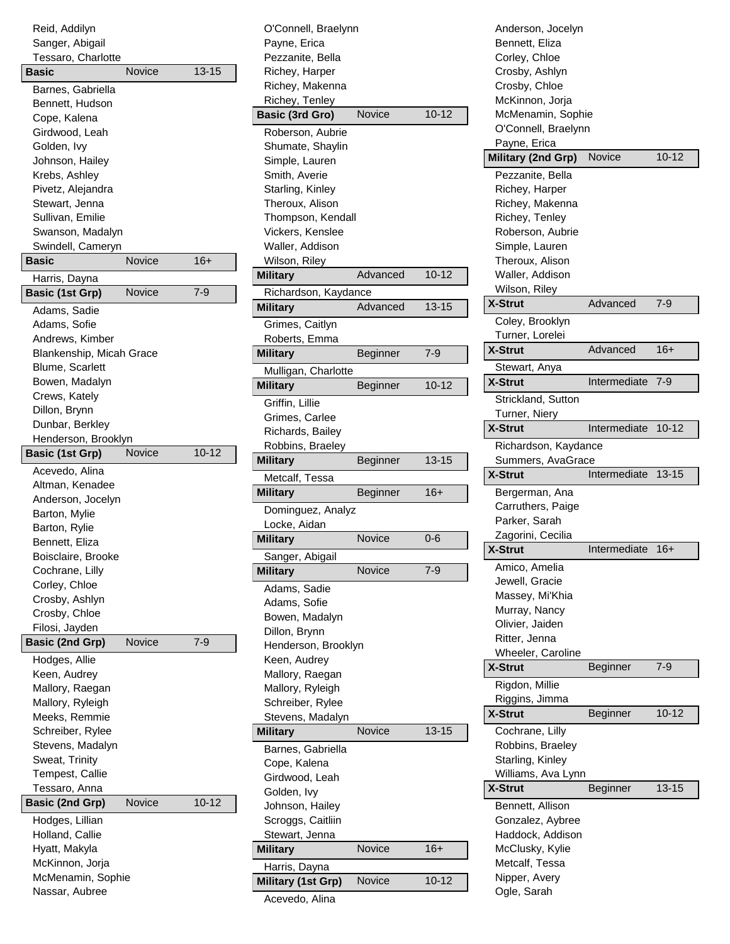| Reid, Addilyn            |        |           |
|--------------------------|--------|-----------|
| Sanger, Abigail          |        |           |
| Tessaro, Charlotte       |        |           |
| Basic                    | Novice | $13 - 15$ |
| Barnes, Gabriella        |        |           |
| Bennett, Hudson          |        |           |
| Cope, Kalena             |        |           |
| Girdwood, Leah           |        |           |
| Golden, Ivy              |        |           |
| Johnson, Hailey          |        |           |
| Krebs, Ashley            |        |           |
| Pivetz, Alejandra        |        |           |
| Stewart, Jenna           |        |           |
| Sullivan, Emilie         |        |           |
| Swanson, Madalyn         |        |           |
| Swindell, Cameryn        |        |           |
| <b>Basic</b>             | Novice | 16+       |
| Harris, Dayna            |        |           |
| <b>Basic (1st Grp)</b>   | Novice | 7-9       |
| Adams, Sadie             |        |           |
| Adams, Sofie             |        |           |
| Andrews, Kimber          |        |           |
| Blankenship, Micah Grace |        |           |
| <b>Blume, Scarlett</b>   |        |           |
| Bowen, Madalyn           |        |           |
| Crews, Kately            |        |           |
| Dillon, Brynn            |        |           |
| Dunbar, Berkley          |        |           |
| Henderson, Brooklyn      |        |           |
| <b>Basic (1st Grp)</b>   | Novice | $10 - 12$ |
| Acevedo, Alina           |        |           |
| Altman, Kenadee          |        |           |
| Anderson, Jocelyn        |        |           |
| Barton, Mylie            |        |           |
| Barton, Rylie            |        |           |
| Bennett, Eliza           |        |           |
| Boisclaire, Brooke       |        |           |
| Cochrane, Lilly          |        |           |
| Corley, Chloe            |        |           |
| Crosby, Ashlyn           |        |           |
| Crosby, Chloe            |        |           |
| Filosi, Jayden           |        |           |
| <b>Basic (2nd Grp)</b>   | Novice | 7-9       |
| Hodges, Allie            |        |           |
| Keen, Audrey             |        |           |
| Mallory, Raegan          |        |           |
| Mallory, Ryleigh         |        |           |
| Meeks, Remmie            |        |           |
| Schreiber, Rylee         |        |           |
| Stevens, Madalyn         |        |           |
| Sweat, Trinity           |        |           |
| Tempest, Callie          |        |           |
| Tessaro, Anna            |        |           |
| <b>Basic (2nd Grp)</b>   | Novice | 10-12     |
| Hodges, Lillian          |        |           |
| Holland, Callie          |        |           |
| Hyatt, Makyla            |        |           |
| McKinnon, Jorja          |        |           |
| McMenamin, Sophie        |        |           |
| Nassar, Aubree           |        |           |

| O'Connell, Braelynn                 |               |           |
|-------------------------------------|---------------|-----------|
| Payne, Erica                        |               |           |
| Pezzanite, Bella                    |               |           |
| Richey, Harper                      |               |           |
| Richey, Makenna                     |               |           |
| Richey, Tenley                      |               |           |
| <b>Basic (3rd Gro)</b>              | Novice        | $10 - 12$ |
| Roberson, Aubrie                    |               |           |
| Shumate, Shaylin                    |               |           |
| Simple, Lauren                      |               |           |
| Smith, Averie                       |               |           |
| Starling, Kinley                    |               |           |
| Theroux, Alison                     |               |           |
| Thompson, Kendall                   |               |           |
| Vickers, Kenslee                    |               |           |
| Waller, Addison                     |               |           |
| Wilson, Riley                       |               |           |
| <b>Military</b>                     | Advanced      | $10 - 12$ |
| Richardson, Kaydance                |               |           |
| <b>Military</b>                     | Advanced      | $13 - 15$ |
| Grimes, Caitlyn                     |               |           |
| Roberts, Emma                       |               |           |
| <b>Military</b>                     | Beginner      | $7 - 9$   |
| Mulligan, Charlotte                 |               |           |
| <b>Military</b>                     | Beginner      | 10-12     |
| Griffin, Lillie                     |               |           |
| Grimes, Carlee                      |               |           |
| Richards, Bailey                    |               |           |
| Robbins, Braeley                    |               |           |
|                                     |               |           |
|                                     |               |           |
| <b>Military</b>                     | Beginner      | 13-15     |
| Metcalf, Tessa                      |               |           |
| <b>Military</b>                     | Beginner      | 16+       |
| Dominguez, Analyz                   |               |           |
| Locke, Aidan                        |               |           |
| <b>Military</b>                     | Novice        | $0 - 6$   |
| Sanger, Abigail                     |               |           |
| <b>Military</b>                     | Novice        | $7 - 9$   |
| Adams, Sadie                        |               |           |
| Adams, Sofie                        |               |           |
| Bowen, Madalyn                      |               |           |
| Dillon, Brynn                       |               |           |
| Henderson, Brooklyn                 |               |           |
| Keen, Audrey                        |               |           |
| Mallory, Raegan                     |               |           |
| Mallory, Ryleigh                    |               |           |
| Schreiber, Rylee                    |               |           |
| Stevens, Madalyn                    |               |           |
| <b>Military</b>                     | <b>Novice</b> | $13 - 15$ |
| Barnes, Gabriella                   |               |           |
| Cope, Kalena                        |               |           |
| Girdwood, Leah                      |               |           |
| Golden, Ivy                         |               |           |
| Johnson, Hailey                     |               |           |
| Scroggs, Caitliin                   |               |           |
| Stewart, Jenna                      |               |           |
| <b>Military</b>                     | Novice        | $16+$     |
| Harris, Dayna<br>Military (1st Grp) | Novice        | $10 - 12$ |

Acevedo, Alina

| Anderson, Jocelyn<br>Bennett, Eliza<br>Corley, Chloe<br>Crosby, Ashlyn<br>Crosby, Chloe<br>McKinnon, Jorja<br>McMenamin, Sophie<br>O'Connell, Braelynn<br>Payne, Erica |              |           |
|------------------------------------------------------------------------------------------------------------------------------------------------------------------------|--------------|-----------|
| Military (2nd Grp)                                                                                                                                                     | Novice       | $10 - 12$ |
| Pezzanite, Bella                                                                                                                                                       |              |           |
| Richey, Harper                                                                                                                                                         |              |           |
| Richey, Makenna                                                                                                                                                        |              |           |
| Richey, Tenley                                                                                                                                                         |              |           |
| Roberson, Aubrie                                                                                                                                                       |              |           |
| Simple, Lauren                                                                                                                                                         |              |           |
| Theroux, Alison                                                                                                                                                        |              |           |
| Waller, Addison                                                                                                                                                        |              |           |
| Wilson, Riley                                                                                                                                                          |              |           |
| <b>X-Strut</b>                                                                                                                                                         | Advanced     | $7-9$     |
| Coley, Brooklyn                                                                                                                                                        |              |           |
| Turner, Lorelei                                                                                                                                                        |              |           |
| X-Strut                                                                                                                                                                | Advanced     | 16+       |
| Stewart, Anya                                                                                                                                                          |              |           |
| <b>X-Strut</b>                                                                                                                                                         | Intermediate | 7-9       |
| Strickland, Sutton                                                                                                                                                     |              |           |
| Turner, Niery                                                                                                                                                          |              |           |
| X-Strut                                                                                                                                                                | Intermediate | $10 - 12$ |
| Richardson, Kaydance                                                                                                                                                   |              |           |
| Summers, AvaGrace                                                                                                                                                      |              |           |
| <b>X-Strut</b>                                                                                                                                                         | Intermediate | $13 - 15$ |
| Bergerman, Ana                                                                                                                                                         |              |           |
| Carruthers, Paige<br>Parker, Sarah<br>Zagorini, Cecilia                                                                                                                |              |           |
| X-Strut                                                                                                                                                                | Intermediate | 16+       |
| Amico, Amelia                                                                                                                                                          |              |           |
| Jewell, Gracie                                                                                                                                                         |              |           |
| Massey, Mi'Khia                                                                                                                                                        |              |           |
| Murray, Nancy                                                                                                                                                          |              |           |
| Olivier, Jaiden                                                                                                                                                        |              |           |
| Ritter, Jenna                                                                                                                                                          |              |           |
| Wheeler, Caroline                                                                                                                                                      |              |           |
| X-Strut                                                                                                                                                                | Beginner     | $7 - 9$   |
| Rigdon, Millie                                                                                                                                                         |              |           |
|                                                                                                                                                                        |              |           |
| Riggins, Jimma                                                                                                                                                         |              |           |
| X-Strut                                                                                                                                                                | Beginner     | $10 - 12$ |
| Cochrane, Lilly                                                                                                                                                        |              |           |
| Robbins, Braeley                                                                                                                                                       |              |           |
| Starling, Kinley                                                                                                                                                       |              |           |
| Williams, Ava Lynn                                                                                                                                                     |              |           |
| X-Strut                                                                                                                                                                | Beginner     | $13 - 15$ |
| Bennett, Allison                                                                                                                                                       |              |           |
| Gonzalez, Aybree                                                                                                                                                       |              |           |
| Haddock, Addison                                                                                                                                                       |              |           |
| McClusky, Kylie                                                                                                                                                        |              |           |
| Metcalf, Tessa                                                                                                                                                         |              |           |
| Nipper, Avery<br>Ogle, Sarah                                                                                                                                           |              |           |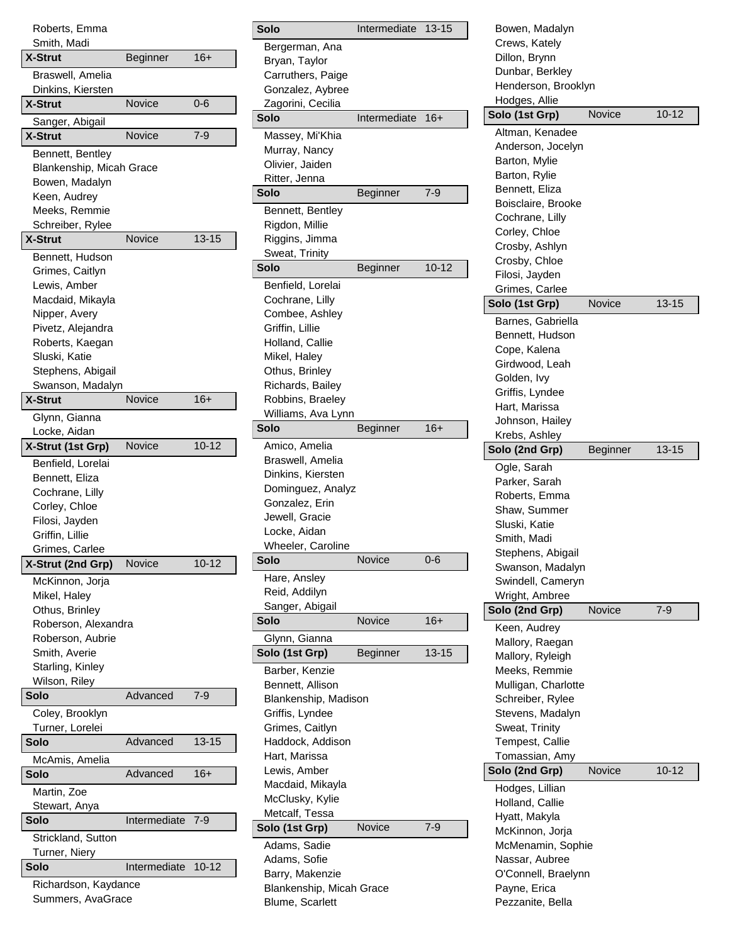| Roberts, Emma<br>Smith, Madi |                 |           |
|------------------------------|-----------------|-----------|
| <b>X-Strut</b>               | <b>Beginner</b> | 16+       |
| Braswell, Amelia             |                 |           |
| Dinkins, Kiersten            |                 |           |
| X-Strut                      | Novice          | $0 - 6$   |
| Sanger, Abigail              |                 |           |
| <b>X-Strut</b>               | Novice          | 7-9       |
| Bennett, Bentley             |                 |           |
| Blankenship, Micah Grace     |                 |           |
| Bowen, Madalyn               |                 |           |
| Keen, Audrey                 |                 |           |
| Meeks, Remmie                |                 |           |
| Schreiber, Rylee             |                 |           |
| <b>X-Strut</b>               | Novice          | $13 - 15$ |
| Bennett, Hudson              |                 |           |
| Grimes, Caitlyn              |                 |           |
| Lewis, Amber                 |                 |           |
| Macdaid, Mikayla             |                 |           |
| Nipper, Avery                |                 |           |
| Pivetz, Alejandra            |                 |           |
| Roberts, Kaegan              |                 |           |
| Sluski, Katie                |                 |           |
| Stephens, Abigail            |                 |           |
| Swanson, Madalyn             |                 |           |
| <b>X-Strut</b>               | Novice          | 16+       |
| Glynn, Gianna                |                 |           |
| Locke, Aidan                 |                 |           |
| X-Strut (1st Grp)            | Novice          | $10 - 12$ |
| Benfield, Lorelai            |                 |           |
| Bennett, Eliza               |                 |           |
| Cochrane, Lilly              |                 |           |
| Corley, Chloe                |                 |           |
| Filosi, Jayden               |                 |           |
| Griffin, Lillie              |                 |           |
| Grimes. Carlee               |                 |           |
| X-Strut (2nd Grp)            | Novice          | $10 - 12$ |
| McKinnon, Jorja              |                 |           |
| Mikel, Haley                 |                 |           |
| Othus, Brinley               |                 |           |
| Roberson, Alexandra          |                 |           |
| Roberson, Aubrie             |                 |           |
| Smith, Averie                |                 |           |
| Starling, Kinley             |                 |           |
| Wilson, Riley                |                 |           |
| Solo                         | Advanced        | 7-9       |
| Coley, Brooklyn              |                 |           |
| Turner, Lorelei              |                 |           |
| Solo                         | Advanced        | $13 - 15$ |
| McAmis, Amelia               |                 |           |
| Solo                         | Advanced        | 16+       |
|                              |                 |           |
| Martin, Zoe                  |                 |           |
| Stewart, Anya<br>Solo        | Intermediate    | 7-9       |
|                              |                 |           |
| Strickland, Sutton           |                 |           |
| Turner, Niery                | Intermediate    | $10 - 12$ |
| Solo                         |                 |           |
| Richardson, Kaydance         |                 |           |

Summers, AvaGrace

| Solo                                | Intermediate  | $13 - 15$ |
|-------------------------------------|---------------|-----------|
| Bergerman, Ana                      |               |           |
| Bryan, Taylor                       |               |           |
| Carruthers, Paige                   |               |           |
| Gonzalez, Aybree                    |               |           |
| Zagorini, Cecilia                   |               |           |
| Solo                                | Intermediate  | 16+       |
| Massey, Mi'Khia                     |               |           |
| Murray, Nancy                       |               |           |
| Olivier, Jaiden                     |               |           |
| Ritter, Jenna                       |               |           |
| Solo                                | Beginner      | 7-9       |
| Bennett, Bentley                    |               |           |
| Rigdon, Millie                      |               |           |
| Riggins, Jimma                      |               |           |
| Sweat, Trinity                      |               |           |
| Solo                                | Beginner      | 10-12     |
| Benfield, Lorelai                   |               |           |
| Cochrane, Lilly                     |               |           |
| Combee, Ashley                      |               |           |
| Griffin, Lillie                     |               |           |
| Holland, Callie                     |               |           |
| Mikel, Haley                        |               |           |
| Othus, Brinley                      |               |           |
| Richards, Bailey                    |               |           |
| Robbins, Braeley                    |               |           |
| Williams, Ava Lynn                  |               |           |
| Solo                                | Beginner      | $16+$     |
| Amico, Amelia                       |               |           |
| Braswell, Amelia                    |               |           |
| Dinkins, Kiersten                   |               |           |
| Dominguez, Analyz<br>Gonzalez, Erin |               |           |
| Jewell, Gracie                      |               |           |
| Locke, Aidan                        |               |           |
| <b>Wheeler, Caroline</b>            |               |           |
| Solo                                | Novice        | 0-6       |
| Hare, Ansley                        |               |           |
| Reid, Addilyn                       |               |           |
| Sanger, Abigail                     |               |           |
| Solo                                | Novice        | $16+$     |
| Glynn, Gianna                       |               |           |
| Solo (1st Grp)                      | Beginner      | 13-15     |
| Barber, Kenzie                      |               |           |
| Bennett, Allison                    |               |           |
| Blankenship, Madison                |               |           |
| Griffis, Lyndee                     |               |           |
| Grimes, Caitlyn                     |               |           |
| Haddock, Addison                    |               |           |
| Hart, Marissa                       |               |           |
| Lewis, Amber                        |               |           |
| Macdaid, Mikayla                    |               |           |
|                                     |               |           |
| McClusky, Kylie                     |               |           |
| Metcalf, Tessa                      |               |           |
| Solo (1st Grp)                      | <b>Novice</b> | 7-9       |
|                                     |               |           |
| Adams, Sadie                        |               |           |
| Adams, Sofie<br>Barry, Makenzie     |               |           |
| Blankenship, Micah Grace            |               |           |

| Bowen, Madalyn                      |          |           |
|-------------------------------------|----------|-----------|
| Crews, Kately                       |          |           |
| Dillon, Brynn                       |          |           |
| Dunbar, Berkley                     |          |           |
| Henderson, Brooklyn                 |          |           |
| Hodges, Allie                       |          |           |
| Solo (1st Grp)                      | Novice   | $10 - 12$ |
| Altman, Kenadee                     |          |           |
| Anderson, Jocelyn                   |          |           |
| Barton, Mylie                       |          |           |
| Barton, Rylie                       |          |           |
| Bennett, Eliza                      |          |           |
| Boisclaire, Brooke                  |          |           |
| Cochrane, Lilly                     |          |           |
| Corley, Chloe                       |          |           |
| Crosby, Ashlyn                      |          |           |
| Crosby, Chloe                       |          |           |
| Filosi, Jayden                      |          |           |
| Grimes, Carlee                      |          |           |
| Solo (1st Grp)                      | Novice   | $13 - 15$ |
| Barnes, Gabriella                   |          |           |
| Bennett, Hudson                     |          |           |
| Cope, Kalena                        |          |           |
| Girdwood, Leah                      |          |           |
| Golden, Ivy                         |          |           |
| Griffis, Lyndee                     |          |           |
| Hart, Marissa                       |          |           |
| Johnson, Hailey                     |          |           |
| Krebs, Ashley                       |          |           |
| Solo (2nd Grp)                      | Beginner | $13 - 15$ |
|                                     |          |           |
| Ogle, Sarah                         |          |           |
| Parker, Sarah                       |          |           |
| Roberts, Emma                       |          |           |
| Shaw, Summer                        |          |           |
| Sluski, Katie                       |          |           |
| Smith, Madi                         |          |           |
| Stephens, Abigail                   |          |           |
| Swanson, Madalyn                    |          |           |
| Swindell, Cameryn                   |          |           |
| Wright, Ambree                      |          |           |
| Solo (2nd Grp)                      | Novice   | $7-9$     |
| Keen, Audrey                        |          |           |
| Mallory, Raegan                     |          |           |
| Mallory, Ryleigh                    |          |           |
| Meeks, Remmie                       |          |           |
| Mulligan, Charlotte                 |          |           |
| Schreiber, Rylee                    |          |           |
| Stevens, Madalyn                    |          |           |
| Sweat, Trinity                      |          |           |
| Tempest, Callie                     |          |           |
| Tomassian, Amy                      |          |           |
| Solo (2nd Grp)                      | Novice   | 10-12     |
| Hodges, Lillian                     |          |           |
| Holland, Callie                     |          |           |
| Hyatt, Makyla                       |          |           |
| McKinnon, Jorja                     |          |           |
| McMenamin, Sophie                   |          |           |
| Nassar, Aubree                      |          |           |
| O'Connell, Braelynn<br>Payne, Erica |          |           |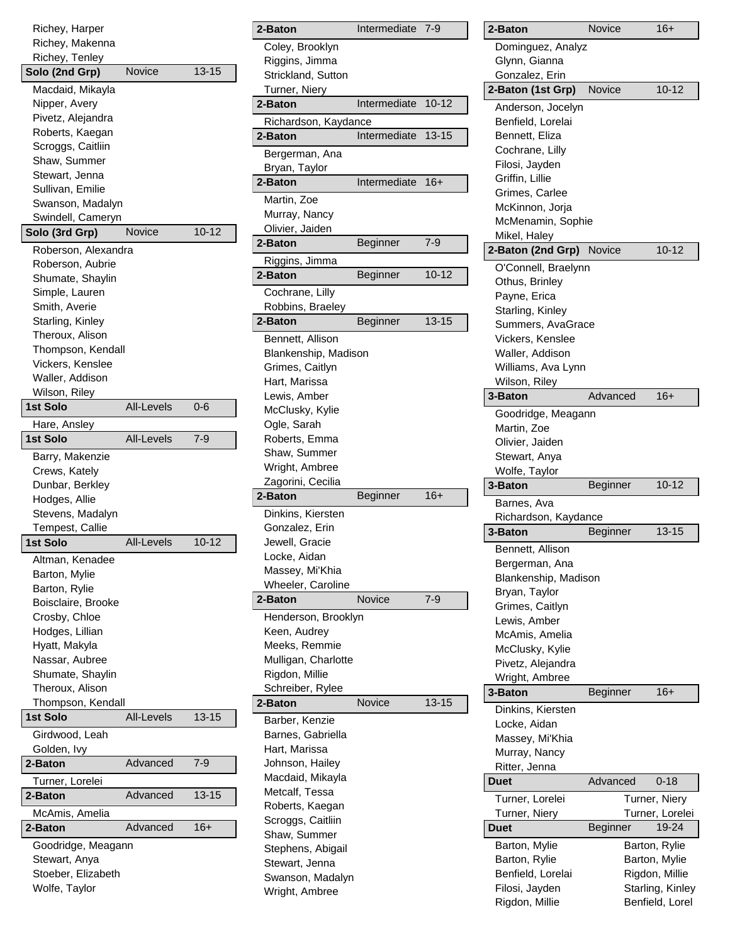| Richey, Harper                      |                   |           |
|-------------------------------------|-------------------|-----------|
| Richey, Makenna                     |                   |           |
| Richey, Tenley                      |                   |           |
| Solo (2nd Grp)                      | Novice            | 13-15     |
| Macdaid, Mikayla                    |                   |           |
| Nipper, Avery                       |                   |           |
| Pivetz, Alejandra                   |                   |           |
| Roberts, Kaegan                     |                   |           |
| Scroggs, Caitliin                   |                   |           |
| Shaw, Summer                        |                   |           |
| Stewart, Jenna                      |                   |           |
| Sullivan, Emilie                    |                   |           |
| Swanson, Madalyn                    |                   |           |
| Swindell, Cameryn                   |                   |           |
| Solo (3rd Grp)                      | Novice            | $10 - 12$ |
|                                     |                   |           |
| Roberson, Alexandra                 |                   |           |
| Roberson, Aubrie                    |                   |           |
| Shumate, Shaylin                    |                   |           |
| Simple, Lauren                      |                   |           |
| Smith, Averie                       |                   |           |
| Starling, Kinley                    |                   |           |
| Theroux, Alison                     |                   |           |
| Thompson, Kendall                   |                   |           |
| Vickers, Kenslee                    |                   |           |
| Waller, Addison                     |                   |           |
| Wilson, Riley                       |                   |           |
| 1st Solo                            | All-Levels        | $0 - 6$   |
| Hare, Ansley                        |                   |           |
| <b>1st Solo</b>                     | <b>All-Levels</b> | 7-9       |
|                                     |                   |           |
| Barry, Makenzie                     |                   |           |
|                                     |                   |           |
| Crews, Kately                       |                   |           |
| Dunbar, Berkley                     |                   |           |
| Hodges, Allie                       |                   |           |
| Stevens, Madalyn                    |                   |           |
| Tempest, Callie                     |                   |           |
| <b>1st Solo</b>                     | <b>All-Levels</b> | $10 - 12$ |
|                                     |                   |           |
| Altman, Kenadee                     |                   |           |
| Barton, Mylie                       |                   |           |
| Barton, Rylie                       |                   |           |
| Boisclaire, Brooke                  |                   |           |
| Crosby, Chloe                       |                   |           |
| Hodges, Lillian                     |                   |           |
| Hyatt, Makyla                       |                   |           |
| Nassar, Aubree                      |                   |           |
| Shumate, Shaylin                    |                   |           |
| Theroux, Alison                     |                   |           |
| Thompson, Kendall                   |                   |           |
| 1st Solo                            | <b>All-Levels</b> | 13-15     |
| Girdwood, Leah                      |                   |           |
| Golden, Ivy                         |                   |           |
| 2-Baton                             | Advanced          | $7 - 9$   |
| Turner, Lorelei                     |                   |           |
| 2-Baton                             | Advanced          | 13-15     |
|                                     |                   |           |
| McAmis, Amelia                      |                   |           |
| 2-Baton                             | Advanced          | 16+       |
| Goodridge, Meagann                  |                   |           |
| Stewart, Anya                       |                   |           |
| Stoeber, Elizabeth<br>Wolfe, Taylor |                   |           |

| 2-Baton                             | Intermediate | 7-9       |
|-------------------------------------|--------------|-----------|
| Coley, Brooklyn                     |              |           |
| Riggins, Jimma                      |              |           |
| Strickland, Sutton                  |              |           |
| Turner, Niery                       |              |           |
| 2-Baton                             | Intermediate | $10 - 12$ |
| Richardson, Kaydance                |              |           |
| 2-Baton                             | Intermediate | $13 - 15$ |
| Bergerman, Ana                      |              |           |
| Bryan, Taylor                       |              |           |
| 2-Baton                             | Intermediate | 16+       |
| Martin, Zoe                         |              |           |
| Murray, Nancy                       |              |           |
| Olivier, Jaiden                     |              |           |
| 2-Baton                             | Beginner     | 7-9       |
| Riggins, Jimma                      |              |           |
| 2-Baton                             | Beginner     | $10 - 12$ |
| Cochrane, Lilly                     |              |           |
| Robbins, Braeley                    |              |           |
| 2-Baton                             | Beginner     | $13 - 15$ |
| Bennett, Allison                    |              |           |
| Blankenship, Madison                |              |           |
| Grimes, Caitlyn                     |              |           |
| Hart, Marissa                       |              |           |
| Lewis, Amber                        |              |           |
| McClusky, Kylie                     |              |           |
| Ogle, Sarah                         |              |           |
| Roberts, Emma                       |              |           |
| Shaw, Summer                        |              |           |
| Wright, Ambree                      |              |           |
| Zagorini, Cecilia                   |              | $16+$     |
| 2-Baton                             | Beginner     |           |
| Dinkins, Kiersten                   |              |           |
| Gonzalez, Erin                      |              |           |
| Jewell, Gracie                      |              |           |
| Locke, Aidan<br>Massey, Mi'Khia     |              |           |
| Wheeler, Caroline                   |              |           |
| 2-Baton                             | Novice       | $7 - 9$   |
|                                     |              |           |
| Henderson, Brooklyn<br>Keen, Audrey |              |           |
| Meeks, Remmie                       |              |           |
| Mulligan, Charlotte                 |              |           |
| Rigdon, Millie                      |              |           |
| Schreiber, Rylee                    |              |           |
| 2-Baton                             | Novice       | $13 - 15$ |
| Barber, Kenzie                      |              |           |
| Barnes, Gabriella                   |              |           |
| Hart, Marissa                       |              |           |
|                                     |              |           |
| Johnson, Hailey                     |              |           |
| Macdaid, Mikayla                    |              |           |
| Metcalf, Tessa                      |              |           |
| Roberts, Kaegan                     |              |           |
| Scroggs, Caitliin                   |              |           |
| Shaw, Summer                        |              |           |
| Stephens, Abigail                   |              |           |
| Stewart, Jenna                      |              |           |
| Swanson, Madalyn<br>Wright, Ambree  |              |           |

| 2-Baton              | Novice   | 16+              |
|----------------------|----------|------------------|
| Dominguez, Analyz    |          |                  |
| Glynn, Gianna        |          |                  |
| Gonzalez, Erin       |          |                  |
| 2-Baton (1st Grp)    | Novice   | $10 - 12$        |
| Anderson, Jocelyn    |          |                  |
| Benfield, Lorelai    |          |                  |
| Bennett, Eliza       |          |                  |
| Cochrane, Lilly      |          |                  |
| Filosi, Jayden       |          |                  |
| Griffin, Lillie      |          |                  |
| Grimes, Carlee       |          |                  |
| McKinnon, Jorja      |          |                  |
| McMenamin, Sophie    |          |                  |
| Mikel, Haley         |          |                  |
| 2-Baton (2nd Grp)    | Novice   | $10 - 12$        |
|                      |          |                  |
| O'Connell, Braelynn  |          |                  |
| Othus, Brinley       |          |                  |
| Payne, Erica         |          |                  |
| Starling, Kinley     |          |                  |
| Summers, AvaGrace    |          |                  |
| Vickers, Kenslee     |          |                  |
| Waller, Addison      |          |                  |
| Williams, Ava Lynn   |          |                  |
| Wilson, Riley        |          |                  |
| 3-Baton              | Advanced | $16+$            |
| Goodridge, Meagann   |          |                  |
| Martin, Zoe          |          |                  |
| Olivier, Jaiden      |          |                  |
| Stewart, Anya        |          |                  |
| Wolfe, Taylor        |          |                  |
| 3-Baton              | Beginner | $10 - 12$        |
| Barnes, Ava          |          |                  |
| Richardson, Kaydance |          |                  |
| 3-Baton              | Beginner | $13 - 15$        |
| Bennett, Allison     |          |                  |
| Bergerman, Ana       |          |                  |
| Blankenship, Madison |          |                  |
| Bryan, Taylor        |          |                  |
| Grimes, Caitlyn      |          |                  |
| Lewis, Amber         |          |                  |
| McAmis, Amelia       |          |                  |
| McClusky, Kylie      |          |                  |
| Pivetz, Alejandra    |          |                  |
| Wright, Ambree       |          |                  |
| 3-Baton              | Beginner | $16+$            |
| Dinkins, Kiersten    |          |                  |
| Locke, Aidan         |          |                  |
| Massey, Mi'Khia      |          |                  |
| Murray, Nancy        |          |                  |
| Ritter, Jenna        |          |                  |
| Duet                 | Advanced | $0 - 18$         |
| Turner, Lorelei      |          | Turner, Niery    |
| Turner, Niery        |          | Turner, Lorelei  |
| Duet                 | Beginner | 19-24            |
| Barton, Mylie        |          | Barton, Rylie    |
| Barton, Rylie        |          | Barton, Mylie    |
| Benfield, Lorelai    |          | Rigdon, Millie   |
| Filosi, Jayden       |          | Starling, Kinley |
| Rigdon, Millie       |          | Benfield, Lorel  |
|                      |          |                  |